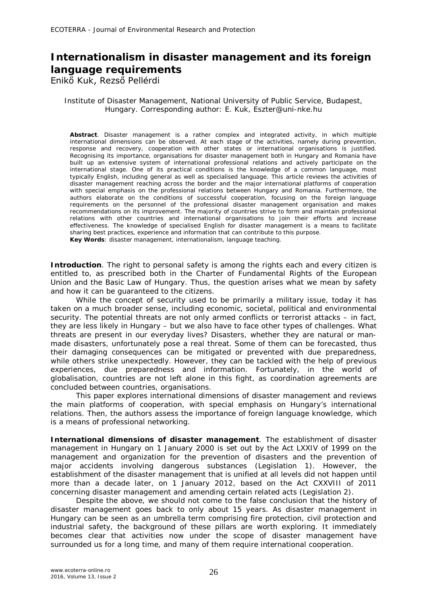## **Internationalism in disaster management and its foreign language requirements**

Enikő Kuk, Rezső Pellérdi

## Institute of Disaster Management, National University of Public Service, Budapest, Hungary. Corresponding author: E. Kuk, Eszter@uni-nke.hu

**Abstract**. Disaster management is a rather complex and integrated activity, in which multiple international dimensions can be observed. At each stage of the activities, namely during prevention, response and recovery, cooperation with other states or international organisations is justified. Recognising its importance, organisations for disaster management both in Hungary and Romania have built up an extensive system of international professional relations and actively participate on the international stage. One of its practical conditions is the knowledge of a common language, most typically English, including general as well as specialised language. This article reviews the activities of disaster management reaching across the border and the major international platforms of cooperation with special emphasis on the professional relations between Hungary and Romania. Furthermore, the authors elaborate on the conditions of successful cooperation, focusing on the foreign language requirements on the personnel of the professional disaster management organisation and makes recommendations on its improvement. The majority of countries strive to form and maintain professional relations with other countries and international organisations to join their efforts and increase effectiveness. The knowledge of specialised English for disaster management is a means to facilitate sharing best practices, experience and information that can contribute to this purpose. **Key Words**: disaster management, internationalism, language teaching.

**Introduction**. The right to personal safety is among the rights each and every citizen is entitled to, as prescribed both in the Charter of Fundamental Rights of the European Union and the Basic Law of Hungary. Thus, the question arises what we mean by safety and how it can be guaranteed to the citizens.

While the concept of security used to be primarily a military issue, today it has taken on a much broader sense, including economic, societal, political and environmental security. The potential threats are not only armed conflicts or terrorist attacks – in fact, they are less likely in Hungary – but we also have to face other types of challenges. What threats are present in our everyday lives? Disasters, whether they are natural or manmade disasters, unfortunately pose a real threat. Some of them can be forecasted, thus their damaging consequences can be mitigated or prevented with due preparedness, while others strike unexpectedly. However, they can be tackled with the help of previous experiences, due preparedness and information. Fortunately, in the world of globalisation, countries are not left alone in this fight, as coordination agreements are concluded between countries, organisations.

This paper explores international dimensions of disaster management and reviews the main platforms of cooperation, with special emphasis on Hungary's international relations. Then, the authors assess the importance of foreign language knowledge, which is a means of professional networking.

**International dimensions of disaster management**. The establishment of disaster management in Hungary on 1 January 2000 is set out by the Act LXXIV of 1999 on the management and organization for the prevention of disasters and the prevention of major accidents involving dangerous substances (Legislation 1). However, the establishment of the disaster management that is unified at all levels did not happen until more than a decade later, on 1 January 2012, based on the Act CXXVIII of 2011 concerning disaster management and amending certain related acts (Legislation 2).

Despite the above, we should not come to the false conclusion that the history of disaster management goes back to only about 15 years. As disaster management in Hungary can be seen as an umbrella term comprising fire protection, civil protection and industrial safety, the background of these pillars are worth exploring. It immediately becomes clear that activities now under the scope of disaster management have surrounded us for a long time, and many of them require international cooperation.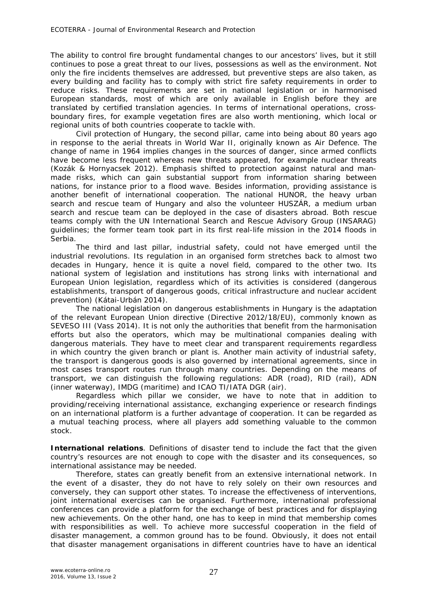The ability to control fire brought fundamental changes to our ancestors' lives, but it still continues to pose a great threat to our lives, possessions as well as the environment. Not only the fire incidents themselves are addressed, but preventive steps are also taken, as every building and facility has to comply with strict fire safety requirements in order to reduce risks. These requirements are set in national legislation or in harmonised European standards, most of which are only available in English before they are translated by certified translation agencies. In terms of international operations, crossboundary fires, for example vegetation fires are also worth mentioning, which local or regional units of both countries cooperate to tackle with.

Civil protection of Hungary, the second pillar, came into being about 80 years ago in response to the aerial threats in World War II, originally known as Air Defence. The change of name in 1964 implies changes in the sources of danger, since armed conflicts have become less frequent whereas new threats appeared, for example nuclear threats (Kozák & Hornyacsek 2012). Emphasis shifted to protection against natural and manmade risks, which can gain substantial support from information sharing between nations, for instance prior to a flood wave. Besides information, providing assistance is another benefit of international cooperation. The national HUNOR, the heavy urban search and rescue team of Hungary and also the volunteer HUSZÁR, a medium urban search and rescue team can be deployed in the case of disasters abroad. Both rescue teams comply with the UN International Search and Rescue Advisory Group (INSARAG) guidelines; the former team took part in its first real-life mission in the 2014 floods in Serbia.

The third and last pillar, industrial safety, could not have emerged until the industrial revolutions. Its regulation in an organised form stretches back to almost two decades in Hungary, hence it is quite a novel field, compared to the other two. Its national system of legislation and institutions has strong links with international and European Union legislation, regardless which of its activities is considered (dangerous establishments, transport of dangerous goods, critical infrastructure and nuclear accident prevention) (Kátai-Urbán 2014).

The national legislation on dangerous establishments in Hungary is the adaptation of the relevant European Union directive (Directive 2012/18/EU), commonly known as SEVESO III (Vass 2014). It is not only the authorities that benefit from the harmonisation efforts but also the operators, which may be multinational companies dealing with dangerous materials. They have to meet clear and transparent requirements regardless in which country the given branch or plant is. Another main activity of industrial safety, the transport is dangerous goods is also governed by international agreements, since in most cases transport routes run through many countries. Depending on the means of transport, we can distinguish the following regulations: ADR (road), RID (rail), ADN (inner waterway), IMDG (maritime) and ICAO TI/IATA DGR (air).

Regardless which pillar we consider, we have to note that in addition to providing/receiving international assistance, exchanging experience or research findings on an international platform is a further advantage of cooperation. It can be regarded as a mutual teaching process, where all players add something valuable to the common stock.

**International relations**. Definitions of disaster tend to include the fact that the given country's resources are not enough to cope with the disaster and its consequences, so international assistance may be needed.

Therefore, states can greatly benefit from an extensive international network. In the event of a disaster, they do not have to rely solely on their own resources and conversely, they can support other states. To increase the effectiveness of interventions, joint international exercises can be organised. Furthermore, international professional conferences can provide a platform for the exchange of best practices and for displaying new achievements. On the other hand, one has to keep in mind that membership comes with responsibilities as well. To achieve more successful cooperation in the field of disaster management, a common ground has to be found. Obviously, it does not entail that disaster management organisations in different countries have to have an identical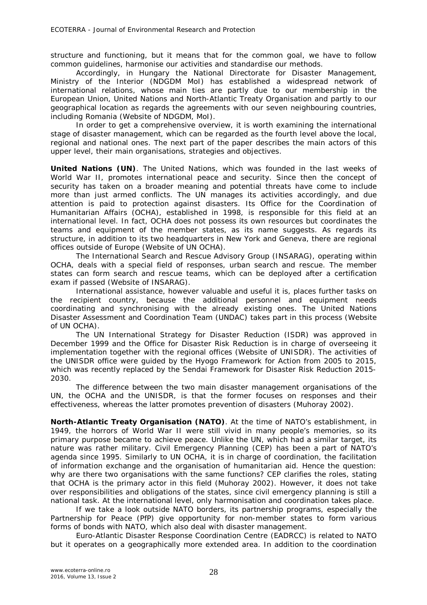structure and functioning, but it means that for the common goal, we have to follow common guidelines, harmonise our activities and standardise our methods.

Accordingly, in Hungary the National Directorate for Disaster Management, Ministry of the Interior (NDGDM MoI) has established a widespread network of international relations, whose main ties are partly due to our membership in the European Union, United Nations and North-Atlantic Treaty Organisation and partly to our geographical location as regards the agreements with our seven neighbouring countries, including Romania (Website of NDGDM, MoI).

In order to get a comprehensive overview, it is worth examining the international stage of disaster management, which can be regarded as the fourth level above the local, regional and national ones. The next part of the paper describes the main actors of this upper level, their main organisations, strategies and objectives.

**United Nations (UN)**. The United Nations, which was founded in the last weeks of World War II, promotes international peace and security. Since then the concept of security has taken on a broader meaning and potential threats have come to include more than just armed conflicts. The UN manages its activities accordingly, and due attention is paid to protection against disasters. Its Office for the Coordination of Humanitarian Affairs (OCHA), established in 1998, is responsible for this field at an international level. In fact, OCHA does not possess its own resources but coordinates the teams and equipment of the member states, as its name suggests. As regards its structure, in addition to its two headquarters in New York and Geneva, there are regional offices outside of Europe (Website of UN OCHA).

The International Search and Rescue Advisory Group (INSARAG), operating within OCHA, deals with a special field of responses, urban search and rescue. The member states can form search and rescue teams, which can be deployed after a certification exam if passed (Website of INSARAG).

International assistance, however valuable and useful it is, places further tasks on the recipient country, because the additional personnel and equipment needs coordinating and synchronising with the already existing ones. The United Nations Disaster Assessment and Coordination Team (UNDAC) takes part in this process (Website of UN OCHA).

The UN International Strategy for Disaster Reduction (ISDR) was approved in December 1999 and the Office for Disaster Risk Reduction is in charge of overseeing it implementation together with the regional offices (Website of UNISDR). The activities of the UNISDR office were guided by the Hyogo Framework for Action from 2005 to 2015, which was recently replaced by the Sendai Framework for Disaster Risk Reduction 2015- 2030.

The difference between the two main disaster management organisations of the UN, the OCHA and the UNISDR, is that the former focuses on responses and their effectiveness, whereas the latter promotes prevention of disasters (Muhoray 2002).

*North-Atlantic Treaty Organisation (NATO).* At the time of NATO's establishment, in 1949, the horrors of World War II were still vivid in many people's memories, so its primary purpose became to achieve peace. Unlike the UN, which had a similar target, its nature was rather military. Civil Emergency Planning (CEP) has been a part of NATO's agenda since 1995. Similarly to UN OCHA, it is in charge of coordination, the facilitation of information exchange and the organisation of humanitarian aid. Hence the question: why are there two organisations with the same functions? CEP clarifies the roles, stating that OCHA is the primary actor in this field (Muhoray 2002). However, it does not take over responsibilities and obligations of the states, since civil emergency planning is still a national task. At the international level, only harmonisation and coordination takes place.

If we take a look outside NATO borders, its partnership programs, especially the Partnership for Peace (PfP) give opportunity for non-member states to form various forms of bonds with NATO, which also deal with disaster management.

Euro-Atlantic Disaster Response Coordination Centre (EADRCC) is related to NATO but it operates on a geographically more extended area. In addition to the coordination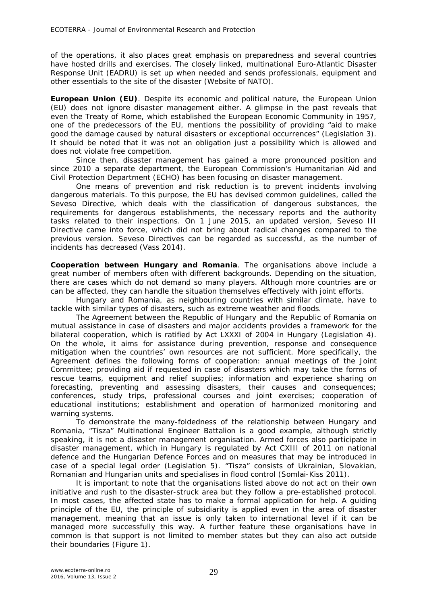of the operations, it also places great emphasis on preparedness and several countries have hosted drills and exercises. The closely linked, multinational Euro-Atlantic Disaster Response Unit (EADRU) is set up when needed and sends professionals, equipment and other essentials to the site of the disaster (Website of NATO).

*European Union (EU)*. Despite its economic and political nature, the European Union (EU) does not ignore disaster management either. A glimpse in the past reveals that even the Treaty of Rome, which established the European Economic Community in 1957, one of the predecessors of the EU, mentions the possibility of providing "aid to make good the damage caused by natural disasters or exceptional occurrences" (Legislation 3). It should be noted that it was not an obligation just a possibility which is allowed and does not violate free competition.

Since then, disaster management has gained a more pronounced position and since 2010 a separate department, the European Commission's Humanitarian Aid and Civil Protection Department (ECHO) has been focusing on disaster management.

One means of prevention and risk reduction is to prevent incidents involving dangerous materials. To this purpose, the EU has devised common guidelines, called the Seveso Directive, which deals with the classification of dangerous substances, the requirements for dangerous establishments, the necessary reports and the authority tasks related to their inspections. On 1 June 2015, an updated version, Seveso III Directive came into force, which did not bring about radical changes compared to the previous version. Seveso Directives can be regarded as successful, as the number of incidents has decreased (Vass 2014).

*Cooperation between Hungary and Romania.* The organisations above include a great number of members often with different backgrounds. Depending on the situation, there are cases which do not demand so many players. Although more countries are or can be affected, they can handle the situation themselves effectively with joint efforts.

Hungary and Romania, as neighbouring countries with similar climate, have to tackle with similar types of disasters, such as extreme weather and floods.

The Agreement between the Republic of Hungary and the Republic of Romania on mutual assistance in case of disasters and major accidents provides a framework for the bilateral cooperation, which is ratified by Act LXXXI of 2004 in Hungary (Legislation 4). On the whole, it aims for assistance during prevention, response and consequence mitigation when the countries' own resources are not sufficient. More specifically, the Agreement defines the following forms of cooperation: annual meetings of the Joint Committee; providing aid if requested in case of disasters which may take the forms of rescue teams, equipment and relief supplies; information and experience sharing on forecasting, preventing and assessing disasters, their causes and consequences; conferences, study trips, professional courses and joint exercises; cooperation of educational institutions; establishment and operation of harmonized monitoring and warning systems.

To demonstrate the many-foldedness of the relationship between Hungary and Romania, "Tisza" Multinational Engineer Battalion is a good example, although strictly speaking, it is not a disaster management organisation. Armed forces also participate in disaster management, which in Hungary is regulated by Act CXIII of 2011 on national defence and the Hungarian Defence Forces and on measures that may be introduced in case of a special legal order (Legislation 5). "Tisza" consists of Ukrainian, Slovakian, Romanian and Hungarian units and specialises in flood control (Somlai-Kiss 2011).

It is important to note that the organisations listed above do not act on their own initiative and rush to the disaster-struck area but they follow a pre-established protocol. In most cases, the affected state has to make a formal application for help. A guiding principle of the EU, the principle of subsidiarity is applied even in the area of disaster management, meaning that an issue is only taken to international level if it can be managed more successfully this way. A further feature these organisations have in common is that support is not limited to member states but they can also act outside their boundaries (Figure 1).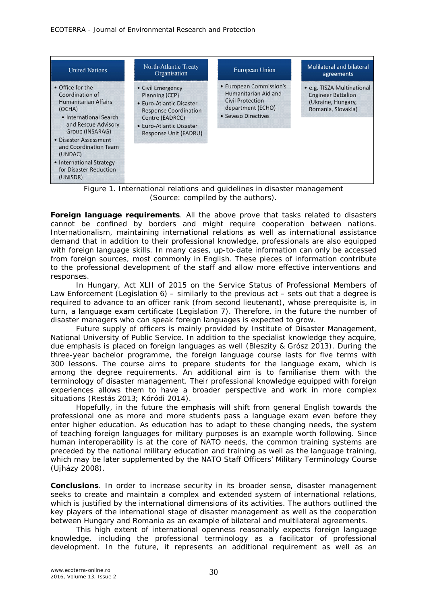| <b>United Nations</b>                                                                                                                                                                                                                                                           | North-Atlantic Treaty<br>Organisation                                                                                                                                   | European Union                                                                                                  | <b>Mulilateral and bilateral</b><br>agreements                                                      |
|---------------------------------------------------------------------------------------------------------------------------------------------------------------------------------------------------------------------------------------------------------------------------------|-------------------------------------------------------------------------------------------------------------------------------------------------------------------------|-----------------------------------------------------------------------------------------------------------------|-----------------------------------------------------------------------------------------------------|
| • Office for the<br>Coordination of<br><b>Humanitarian Affairs</b><br>(OCHA)<br>• International Search<br>and Rescue Advisory<br>Group (INSARAG)<br>• Disaster Assessment<br>and Coordination Team<br>(UNDAC)<br>• International Strategy<br>for Disaster Reduction<br>(UNISDR) | • Civil Emergency<br>Planning (CEP)<br>• Euro-Atlantic Disaster<br><b>Response Coordination</b><br>Centre (EADRCC)<br>• Euro-Atlantic Disaster<br>Response Unit (EADRU) | • European Commission's<br>Humanitarian Aid and<br>Civil Protection<br>department (ECHO)<br>• Seveso Directives | • e.g. TISZA Multinational<br><b>Engineer Battalion</b><br>(Ukraine, Hungary,<br>Romania, Slovakia) |

Figure 1. International relations and guidelines in disaster management (Source: compiled by the authors).

**Foreign language requirements**. All the above prove that tasks related to disasters cannot be confined by borders and might require cooperation between nations. Internationalism, maintaining international relations as well as international assistance demand that in addition to their professional knowledge, professionals are also equipped with foreign language skills. In many cases, up-to-date information can only be accessed from foreign sources, most commonly in English. These pieces of information contribute to the professional development of the staff and allow more effective interventions and responses.

In Hungary, Act XLII of 2015 on the Service Status of Professional Members of Law Enforcement (Legislation 6) – similarly to the previous act – sets out that a degree is required to advance to an officer rank (from second lieutenant), whose prerequisite is, in turn, a language exam certificate (Legislation 7). Therefore, in the future the number of disaster managers who can speak foreign languages is expected to grow.

Future supply of officers is mainly provided by Institute of Disaster Management, National University of Public Service. In addition to the specialist knowledge they acquire, due emphasis is placed on foreign languages as well (Bleszity & Grósz 2013). During the three-year bachelor programme, the foreign language course lasts for five terms with 300 lessons. The course aims to prepare students for the language exam, which is among the degree requirements. An additional aim is to familiarise them with the terminology of disaster management. Their professional knowledge equipped with foreign experiences allows them to have a broader perspective and work in more complex situations (Restás 2013; Kóródi 2014).

Hopefully, in the future the emphasis will shift from general English towards the professional one as more and more students pass a language exam even before they enter higher education. As education has to adapt to these changing needs, the system of teaching foreign languages for military purposes is an example worth following. Since human interoperability is at the core of NATO needs, the common training systems are preceded by the national military education and training as well as the language training, which may be later supplemented by the NATO Staff Officers' Military Terminology Course (Ujházy 2008).

**Conclusions**. In order to increase security in its broader sense, disaster management seeks to create and maintain a complex and extended system of international relations, which is justified by the international dimensions of its activities. The authors outlined the key players of the international stage of disaster management as well as the cooperation between Hungary and Romania as an example of bilateral and multilateral agreements.

This high extent of international openness reasonably expects foreign language knowledge, including the professional terminology as a facilitator of professional development. In the future, it represents an additional requirement as well as an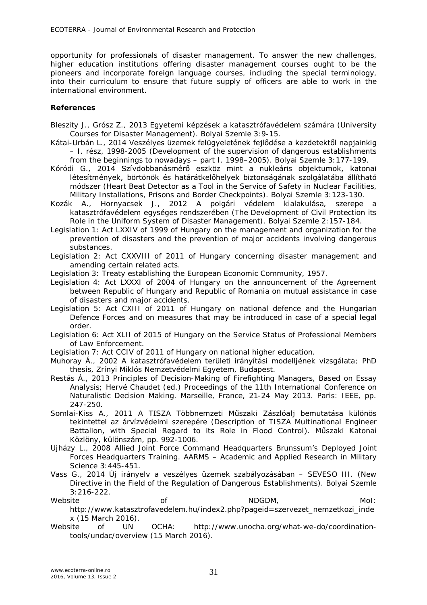opportunity for professionals of disaster management. To answer the new challenges, higher education institutions offering disaster management courses ought to be the pioneers and incorporate foreign language courses, including the special terminology, into their curriculum to ensure that future supply of officers are able to work in the international environment.

## **References**

- Bleszity J., Grósz Z., 2013 Egyetemi képzések a katasztrófavédelem számára (University Courses for Disaster Management). Bolyai Szemle 3:9-15.
- Kátai-Urbán L., 2014 Veszélyes üzemek felügyeletének fejlődése a kezdetektől napjainkig – I. rész, 1998-2005 (Development of the supervision of dangerous establishments from the beginnings to nowadays – part I. 1998–2005). Bolyai Szemle 3:177-199.
- Kóródi G., 2014 Szívdobbanásmérő eszköz mint a nukleáris objektumok, katonai létesítmények, börtönök és határátkelőhelyek biztonságának szolgálatába állítható módszer (Heart Beat Detector as a Tool in the Service of Safety in Nuclear Facilities, Military Installations, Prisons and Border Checkpoints). Bolyai Szemle 3:123-130.
- Kozák A., Hornyacsek J., 2012 A polgári védelem kialakulása, szerepe a katasztrófavédelem egységes rendszerében (The Development of Civil Protection its Role in the Uniform System of Disaster Management). Bolyai Szemle 2:157-184.
- Legislation 1: Act LXXIV of 1999 of Hungary on the management and organization for the prevention of disasters and the prevention of major accidents involving dangerous substances.
- Legislation 2: Act CXXVIII of 2011 of Hungary concerning disaster management and amending certain related acts.
- Legislation 3: Treaty establishing the European Economic Community, 1957.
- Legislation 4: Act LXXXI of 2004 of Hungary on the announcement of the Agreement between Republic of Hungary and Republic of Romania on mutual assistance in case of disasters and major accidents.
- Legislation 5: Act CXIII of 2011 of Hungary on national defence and the Hungarian Defence Forces and on measures that may be introduced in case of a special legal order.
- Legislation 6: Act XLII of 2015 of Hungary on the Service Status of Professional Members of Law Enforcement.
- Legislation 7: Act CCIV of 2011 of Hungary on national higher education.
- Muhoray Á., 2002 A katasztrófavédelem területi irányítási modelljének vizsgálata; PhD thesis, Zrínyi Miklós Nemzetvédelmi Egyetem, Budapest.
- Restás Á., 2013 Principles of Decision-Making of Firefighting Managers, Based on Essay Analysis; Hervé Chaudet (ed.) Proceedings of the 11th International Conference on Naturalistic Decision Making. Marseille, France, 21-24 May 2013. Paris: IEEE, pp. 247-250.
- Somlai-Kiss A., 2011 A TISZA Többnemzeti Műszaki Zászlóalj bemutatása különös tekintettel az árvízvédelmi szerepére (Description of TISZA Multinational Engineer Battalion, with Special Regard to its Role in Flood Control). Műszaki Katonai Közlöny, különszám, pp. 992-1006.
- Ujházy L., 2008 Allied Joint Force Command Headquarters Brunssum's Deployed Joint Forces Headquarters Training. AARMS – Academic and Applied Research in Military Science 3:445-451.
- Vass G., 2014 Új irányelv a veszélyes üzemek szabályozásában SEVESO III. (New Directive in the Field of the Regulation of Dangerous Establishments). Bolyai Szemle 3:216-222.
- Website of NDGDM, MoI: http://www.katasztrofavedelem.hu/index2.php?pageid=szervezet\_nemzetkozi\_inde x (15 March 2016).
- Website of UN OCHA: http://www.unocha.org/what-we-do/coordinationtools/undac/overview (15 March 2016).